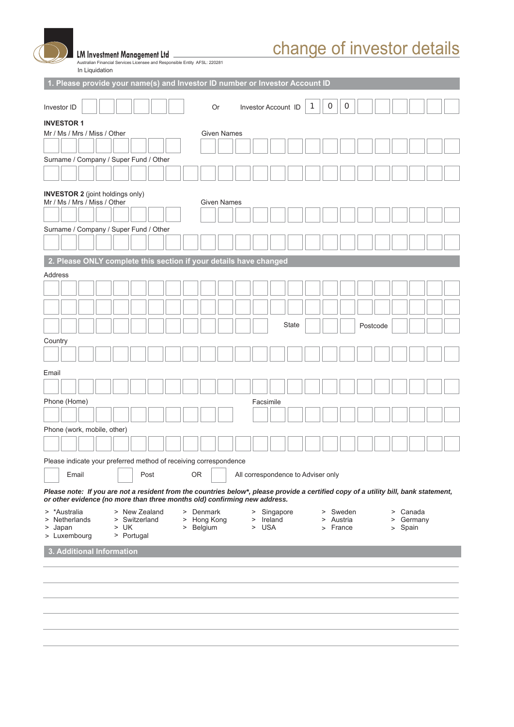# change of investor details

Australian Financial Services Licensee and Responsible Entity AFSL: 220281

In Liquidation

| $\boldsymbol{\mathcal{I}}$<br>0<br>0<br>Investor ID<br>Or<br>Investor Account ID<br><b>INVESTOR 1</b><br>Mr / Ms / Mrs / Miss / Other<br><b>Given Names</b><br>Surname / Company / Super Fund / Other<br><b>INVESTOR 2</b> (joint holdings only)<br>Mr / Ms / Mrs / Miss / Other<br><b>Given Names</b> |  |  |  |  |  |  |  |  |  |  |
|--------------------------------------------------------------------------------------------------------------------------------------------------------------------------------------------------------------------------------------------------------------------------------------------------------|--|--|--|--|--|--|--|--|--|--|
|                                                                                                                                                                                                                                                                                                        |  |  |  |  |  |  |  |  |  |  |
|                                                                                                                                                                                                                                                                                                        |  |  |  |  |  |  |  |  |  |  |
|                                                                                                                                                                                                                                                                                                        |  |  |  |  |  |  |  |  |  |  |
|                                                                                                                                                                                                                                                                                                        |  |  |  |  |  |  |  |  |  |  |
|                                                                                                                                                                                                                                                                                                        |  |  |  |  |  |  |  |  |  |  |
|                                                                                                                                                                                                                                                                                                        |  |  |  |  |  |  |  |  |  |  |
|                                                                                                                                                                                                                                                                                                        |  |  |  |  |  |  |  |  |  |  |
|                                                                                                                                                                                                                                                                                                        |  |  |  |  |  |  |  |  |  |  |
| Surname / Company / Super Fund / Other                                                                                                                                                                                                                                                                 |  |  |  |  |  |  |  |  |  |  |
|                                                                                                                                                                                                                                                                                                        |  |  |  |  |  |  |  |  |  |  |
|                                                                                                                                                                                                                                                                                                        |  |  |  |  |  |  |  |  |  |  |
| 2. Please ONLY complete this section if your details have changed                                                                                                                                                                                                                                      |  |  |  |  |  |  |  |  |  |  |
| Address                                                                                                                                                                                                                                                                                                |  |  |  |  |  |  |  |  |  |  |
|                                                                                                                                                                                                                                                                                                        |  |  |  |  |  |  |  |  |  |  |
|                                                                                                                                                                                                                                                                                                        |  |  |  |  |  |  |  |  |  |  |
| State<br>Postcode                                                                                                                                                                                                                                                                                      |  |  |  |  |  |  |  |  |  |  |
| Country                                                                                                                                                                                                                                                                                                |  |  |  |  |  |  |  |  |  |  |
|                                                                                                                                                                                                                                                                                                        |  |  |  |  |  |  |  |  |  |  |
|                                                                                                                                                                                                                                                                                                        |  |  |  |  |  |  |  |  |  |  |
| Email                                                                                                                                                                                                                                                                                                  |  |  |  |  |  |  |  |  |  |  |
|                                                                                                                                                                                                                                                                                                        |  |  |  |  |  |  |  |  |  |  |
| Phone (Home)<br>Facsimile                                                                                                                                                                                                                                                                              |  |  |  |  |  |  |  |  |  |  |
|                                                                                                                                                                                                                                                                                                        |  |  |  |  |  |  |  |  |  |  |
| Phone (work, mobile, other)                                                                                                                                                                                                                                                                            |  |  |  |  |  |  |  |  |  |  |
|                                                                                                                                                                                                                                                                                                        |  |  |  |  |  |  |  |  |  |  |
| Please indicate your preferred method of receiving correspondence                                                                                                                                                                                                                                      |  |  |  |  |  |  |  |  |  |  |
| OR<br>Post<br>All correspondence to Adviser only<br>Email                                                                                                                                                                                                                                              |  |  |  |  |  |  |  |  |  |  |
| Please note: If you are not a resident from the countries below*, please provide a certified copy of a utility bill, bank statement,<br>or other evidence (no more than three months old) confirming new address.                                                                                      |  |  |  |  |  |  |  |  |  |  |
| > *Australia<br>> New Zealand<br>> Denmark<br>> Sweden<br>$>$ Canada<br>Singapore<br>$\, > \,$                                                                                                                                                                                                         |  |  |  |  |  |  |  |  |  |  |
| > Hong Kong<br>> Ireland<br>> Netherlands<br>> Switzerland<br>> Austria<br>> Germany<br>> UK<br>> USA<br>> France                                                                                                                                                                                      |  |  |  |  |  |  |  |  |  |  |
| > Japan<br>> Belgium<br>> Spain<br>> Luxembourg<br>> Portugal                                                                                                                                                                                                                                          |  |  |  |  |  |  |  |  |  |  |
| <b>3. Additional Information</b>                                                                                                                                                                                                                                                                       |  |  |  |  |  |  |  |  |  |  |
|                                                                                                                                                                                                                                                                                                        |  |  |  |  |  |  |  |  |  |  |
|                                                                                                                                                                                                                                                                                                        |  |  |  |  |  |  |  |  |  |  |
|                                                                                                                                                                                                                                                                                                        |  |  |  |  |  |  |  |  |  |  |
|                                                                                                                                                                                                                                                                                                        |  |  |  |  |  |  |  |  |  |  |
|                                                                                                                                                                                                                                                                                                        |  |  |  |  |  |  |  |  |  |  |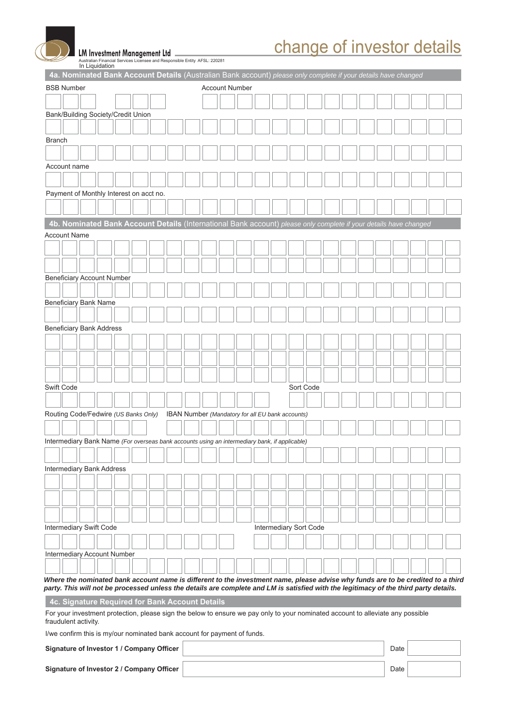

# change of investor details

Australian Financial Services Licensee and Responsible Entity AFSL: 220281 In Liquidation

| 4a. Nominated Bank Account Details (Australian Bank account) please only complete if your details have changed |  |  |  |                                 |                                      |  |                                                                                               |  |  |                                                  |  |                        |                                                                                                                                       |  |  |  |                                                                                                                                  |
|----------------------------------------------------------------------------------------------------------------|--|--|--|---------------------------------|--------------------------------------|--|-----------------------------------------------------------------------------------------------|--|--|--------------------------------------------------|--|------------------------|---------------------------------------------------------------------------------------------------------------------------------------|--|--|--|----------------------------------------------------------------------------------------------------------------------------------|
| <b>BSB Number</b><br><b>Account Number</b>                                                                     |  |  |  |                                 |                                      |  |                                                                                               |  |  |                                                  |  |                        |                                                                                                                                       |  |  |  |                                                                                                                                  |
|                                                                                                                |  |  |  |                                 |                                      |  |                                                                                               |  |  |                                                  |  |                        |                                                                                                                                       |  |  |  |                                                                                                                                  |
|                                                                                                                |  |  |  |                                 | Bank/Building Society/Credit Union   |  |                                                                                               |  |  |                                                  |  |                        |                                                                                                                                       |  |  |  |                                                                                                                                  |
|                                                                                                                |  |  |  |                                 |                                      |  |                                                                                               |  |  |                                                  |  |                        |                                                                                                                                       |  |  |  |                                                                                                                                  |
| <b>Branch</b>                                                                                                  |  |  |  |                                 |                                      |  |                                                                                               |  |  |                                                  |  |                        |                                                                                                                                       |  |  |  |                                                                                                                                  |
|                                                                                                                |  |  |  |                                 |                                      |  |                                                                                               |  |  |                                                  |  |                        |                                                                                                                                       |  |  |  |                                                                                                                                  |
| Account name                                                                                                   |  |  |  |                                 |                                      |  |                                                                                               |  |  |                                                  |  |                        |                                                                                                                                       |  |  |  |                                                                                                                                  |
|                                                                                                                |  |  |  |                                 |                                      |  |                                                                                               |  |  |                                                  |  |                        |                                                                                                                                       |  |  |  |                                                                                                                                  |
| Payment of Monthly Interest on acct no.                                                                        |  |  |  |                                 |                                      |  |                                                                                               |  |  |                                                  |  |                        |                                                                                                                                       |  |  |  |                                                                                                                                  |
|                                                                                                                |  |  |  |                                 |                                      |  |                                                                                               |  |  |                                                  |  |                        |                                                                                                                                       |  |  |  |                                                                                                                                  |
|                                                                                                                |  |  |  |                                 |                                      |  |                                                                                               |  |  |                                                  |  |                        | 4b. Nominated Bank Account Details (International Bank account) please only complete if your details have changed                     |  |  |  |                                                                                                                                  |
| <b>Account Name</b>                                                                                            |  |  |  |                                 |                                      |  |                                                                                               |  |  |                                                  |  |                        |                                                                                                                                       |  |  |  |                                                                                                                                  |
|                                                                                                                |  |  |  |                                 |                                      |  |                                                                                               |  |  |                                                  |  |                        |                                                                                                                                       |  |  |  |                                                                                                                                  |
|                                                                                                                |  |  |  |                                 |                                      |  |                                                                                               |  |  |                                                  |  |                        |                                                                                                                                       |  |  |  |                                                                                                                                  |
|                                                                                                                |  |  |  |                                 | <b>Beneficiary Account Number</b>    |  |                                                                                               |  |  |                                                  |  |                        |                                                                                                                                       |  |  |  |                                                                                                                                  |
|                                                                                                                |  |  |  |                                 |                                      |  |                                                                                               |  |  |                                                  |  |                        |                                                                                                                                       |  |  |  |                                                                                                                                  |
|                                                                                                                |  |  |  | Beneficiary Bank Name           |                                      |  |                                                                                               |  |  |                                                  |  |                        |                                                                                                                                       |  |  |  |                                                                                                                                  |
|                                                                                                                |  |  |  |                                 |                                      |  |                                                                                               |  |  |                                                  |  |                        |                                                                                                                                       |  |  |  |                                                                                                                                  |
|                                                                                                                |  |  |  | <b>Beneficiary Bank Address</b> |                                      |  |                                                                                               |  |  |                                                  |  |                        |                                                                                                                                       |  |  |  |                                                                                                                                  |
|                                                                                                                |  |  |  |                                 |                                      |  |                                                                                               |  |  |                                                  |  |                        |                                                                                                                                       |  |  |  |                                                                                                                                  |
|                                                                                                                |  |  |  |                                 |                                      |  |                                                                                               |  |  |                                                  |  |                        |                                                                                                                                       |  |  |  |                                                                                                                                  |
|                                                                                                                |  |  |  |                                 |                                      |  |                                                                                               |  |  |                                                  |  |                        |                                                                                                                                       |  |  |  |                                                                                                                                  |
|                                                                                                                |  |  |  |                                 |                                      |  |                                                                                               |  |  |                                                  |  |                        |                                                                                                                                       |  |  |  |                                                                                                                                  |
| Swift Code                                                                                                     |  |  |  |                                 |                                      |  |                                                                                               |  |  |                                                  |  | Sort Code              |                                                                                                                                       |  |  |  |                                                                                                                                  |
|                                                                                                                |  |  |  |                                 |                                      |  |                                                                                               |  |  |                                                  |  |                        |                                                                                                                                       |  |  |  |                                                                                                                                  |
|                                                                                                                |  |  |  |                                 | Routing Code/Fedwire (US Banks Only) |  |                                                                                               |  |  | IBAN Number (Mandatory for all EU bank accounts) |  |                        |                                                                                                                                       |  |  |  |                                                                                                                                  |
|                                                                                                                |  |  |  |                                 |                                      |  |                                                                                               |  |  |                                                  |  |                        |                                                                                                                                       |  |  |  |                                                                                                                                  |
|                                                                                                                |  |  |  |                                 |                                      |  | Intermediary Bank Name (For overseas bank accounts using an intermediary bank, if applicable) |  |  |                                                  |  |                        |                                                                                                                                       |  |  |  |                                                                                                                                  |
|                                                                                                                |  |  |  |                                 |                                      |  |                                                                                               |  |  |                                                  |  |                        |                                                                                                                                       |  |  |  |                                                                                                                                  |
|                                                                                                                |  |  |  |                                 | <b>Intermediary Bank Address</b>     |  |                                                                                               |  |  |                                                  |  |                        |                                                                                                                                       |  |  |  |                                                                                                                                  |
|                                                                                                                |  |  |  |                                 |                                      |  |                                                                                               |  |  |                                                  |  |                        |                                                                                                                                       |  |  |  |                                                                                                                                  |
|                                                                                                                |  |  |  |                                 |                                      |  |                                                                                               |  |  |                                                  |  |                        |                                                                                                                                       |  |  |  |                                                                                                                                  |
|                                                                                                                |  |  |  |                                 |                                      |  |                                                                                               |  |  |                                                  |  |                        |                                                                                                                                       |  |  |  |                                                                                                                                  |
|                                                                                                                |  |  |  | Intermediary Swift Code         |                                      |  |                                                                                               |  |  |                                                  |  | Intermediary Sort Code |                                                                                                                                       |  |  |  |                                                                                                                                  |
|                                                                                                                |  |  |  |                                 |                                      |  |                                                                                               |  |  |                                                  |  |                        |                                                                                                                                       |  |  |  |                                                                                                                                  |
|                                                                                                                |  |  |  |                                 | Intermediary Account Number          |  |                                                                                               |  |  |                                                  |  |                        |                                                                                                                                       |  |  |  |                                                                                                                                  |
|                                                                                                                |  |  |  |                                 |                                      |  |                                                                                               |  |  |                                                  |  |                        |                                                                                                                                       |  |  |  |                                                                                                                                  |
|                                                                                                                |  |  |  |                                 |                                      |  |                                                                                               |  |  |                                                  |  |                        |                                                                                                                                       |  |  |  | Where the nominated bank account name is different to the investment name, please advise why funds are to be credited to a third |
|                                                                                                                |  |  |  |                                 |                                      |  |                                                                                               |  |  |                                                  |  |                        | party. This will not be processed unless the details are complete and LM is satisfied with the legitimacy of the third party details. |  |  |  |                                                                                                                                  |

**4c. Signature Required for Bank Account Details** 

For your investment protection, please sign the below to ensure we pay only to your nominated account to alleviate any possible fraudulent activity.

I/we confirm this is my/our nominated bank account for payment of funds.

**Signature of Investor 1 / Company Officer** 

**Signature of Investor 2 / Company Officer** 

Date

Date